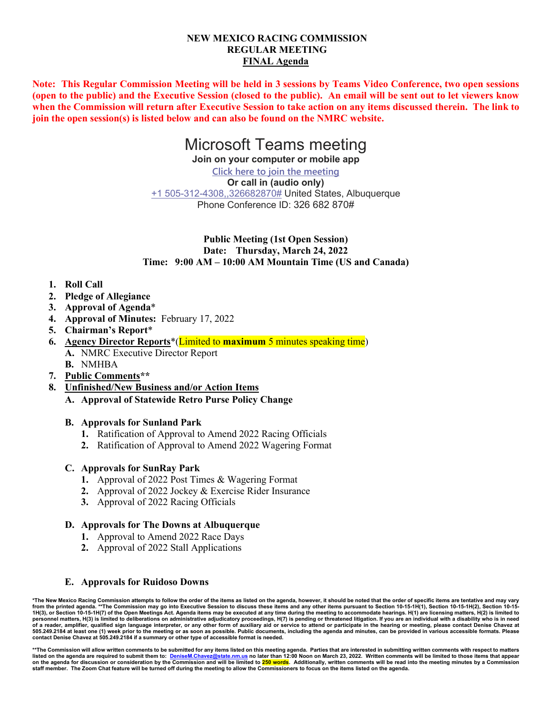### **NEW MEXICO RACING COMMISSION REGULAR MEETING FINAL Agenda**

**Note: This Regular Commission Meeting will be held in 3 sessions by Teams Video Conference, two open sessions (open to the public) and the Executive Session (closed to the public). An email will be sent out to let viewers know when the Commission will return after Executive Session to take action on any items discussed therein. The link to join the open session(s) is listed below and can also be found on the NMRC website.**

# Microsoft Teams meeting

**Join on your computer or mobile app**

**[Click here to join the meeting](https://teams.microsoft.com/l/meetup-join/19%3ameeting_MjYzYTk3NTctNzNhYy00ZDZlLTkyMGItYmE0NDgxNTIyZjUx%40thread.v2/0?context=%7b%22Tid%22%3a%2204aa6bf4-d436-426f-bfa4-04b7a70e60ff%22%2c%22Oid%22%3a%22f408c805-7305-4780-aa72-54ba16deddf3%22%7d) Or call in (audio only)** [+1 505-312-4308,,326682870#](tel:+15053124308,,326682870#%20) United States, Albuquerque Phone Conference ID: 326 682 870#

## **Public Meeting (1st Open Session) Date: Thursday, March 24, 2022 Time: 9:00 AM – 10:00 AM Mountain Time (US and Canada)**

## **1. Roll Call**

- **2. Pledge of Allegiance**
- **3. Approval of Agenda**\*
- **4. Approval of Minutes:** February 17, 2022
- **5. Chairman's Report**\*
- **6. Agency Director Reports**\*(Limited to **maximum** 5 minutes speaking time) **A.** NMRC Executive Director Report
	- **B.** NMHBA
- **7. Public Comments\*\***
- **8. Unfinished/New Business and/or Action Items**
	- **A. Approval of Statewide Retro Purse Policy Change**

## **B. Approvals for Sunland Park**

- **1.** Ratification of Approval to Amend 2022 Racing Officials
- **2.** Ratification of Approval to Amend 2022 Wagering Format

## **C. Approvals for SunRay Park**

- **1.** Approval of 2022 Post Times & Wagering Format
- **2.** Approval of 2022 Jockey & Exercise Rider Insurance
- **3.** Approval of 2022 Racing Officials

## **D. Approvals for The Downs at Albuquerque**

- **1.** Approval to Amend 2022 Race Days
- **2.** Approval of 2022 Stall Applications

## **E. Approvals for Ruidoso Downs**

\*The New Mexico Racing Commission attempts to follow the order of the items as listed on the agenda, however, it should be noted that the order of specific items are tentative and may vary<br>from the printed agenda. \*\*The C **personnel matters, H(3) is limited to deliberations on administrative adjudicatory proceedings, H(7) is pending or threatened litigation. If you are an individual with a disability who is in need of a reader, amplifier, qualified sign language interpreter, or any other form of auxiliary aid or service to attend or participate in the hearing or meeting, please contact Denise Chavez at 505.249.2184 at least one (1) week prior to the meeting or as soon as possible. Public documents, including the agenda and minutes, can be provided in various accessible formats. Please contact Denise Chavez at 505.249.2184 if a summary or other type of accessible format is needed.**

**\*\*The Commission will allow written comments to be submitted for any items listed on this meeting agenda. Parties that are interested in submitting written comments with respect to matters**  <u>)<br>Istate.nm.us</u> no later than 12:00 Noon on March 23, 2022. Written comments will be limited to those items that appear **on the agenda for discussion or consideration by the Commission and will be limited to 250 words. Additionally, written comments will be read into the meeting minutes by a Commission staff member. The Zoom Chat feature will be turned off during the meeting to allow the Commissioners to focus on the items listed on the agenda.**